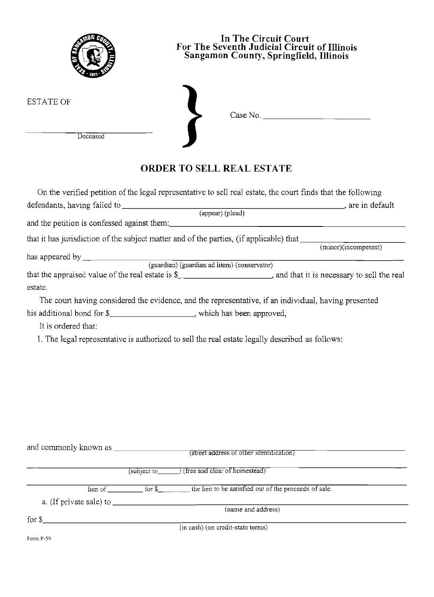| In The Circuit Court<br>For The Seventh Judicial Circuit of Illinois<br>Sangamon County, Springfield, Illinois                                                                                                                                                                                                                                                                                                |                                                                                                                                                                                                                                                                                                                                                                                                                                                                                                                                                                                            |  |  |  |  |  |
|---------------------------------------------------------------------------------------------------------------------------------------------------------------------------------------------------------------------------------------------------------------------------------------------------------------------------------------------------------------------------------------------------------------|--------------------------------------------------------------------------------------------------------------------------------------------------------------------------------------------------------------------------------------------------------------------------------------------------------------------------------------------------------------------------------------------------------------------------------------------------------------------------------------------------------------------------------------------------------------------------------------------|--|--|--|--|--|
| <b>ESTATE OF</b><br>Deceased                                                                                                                                                                                                                                                                                                                                                                                  |                                                                                                                                                                                                                                                                                                                                                                                                                                                                                                                                                                                            |  |  |  |  |  |
|                                                                                                                                                                                                                                                                                                                                                                                                               | <b>ORDER TO SELL REAL ESTATE</b>                                                                                                                                                                                                                                                                                                                                                                                                                                                                                                                                                           |  |  |  |  |  |
| has appeared by<br>${\rm (guardian) \ (guardian \ ad \ item) \ (conservation)}$<br>estate.<br>his additional bond for \$______________________, which has been approved,<br>It is ordered that:                                                                                                                                                                                                               | On the verified petition of the legal representative to sell real estate, the court finds that the following<br>(appear) (plead)<br>that it has jurisdiction of the subject matter and of the parties, (if applicable) that <i>(minor)(incompetent)</i><br>that the appraised value of the real estate is \$________________________, and that it is necessary to sell the real<br>The court having considered the evidence, and the representative, if an individual, having presented<br>1. The legal representative is authorized to sell the real estate legally described as follows: |  |  |  |  |  |
| a. (If private sale) to $\frac{1}{\sqrt{1-\frac{1}{\sqrt{1-\frac{1}{\sqrt{1-\frac{1}{\sqrt{1-\frac{1}{\sqrt{1-\frac{1}{\sqrt{1-\frac{1}{\sqrt{1-\frac{1}{\sqrt{1-\frac{1}{\sqrt{1-\frac{1}{\sqrt{1-\frac{1}{\sqrt{1-\frac{1}{\sqrt{1-\frac{1}{\sqrt{1-\frac{1}{\sqrt{1-\frac{1}{\sqrt{1-\frac{1}{\sqrt{1-\frac{1}{\sqrt{1-\frac{1}{\sqrt{1-\frac{1}{\sqrt{1-\frac{1}{\sqrt{1-\frac{1}{\sqrt{1-\frac{1}{\sqrt$ | (street address of other identification)<br>$(subject to \_)$ (free and clear of homestead)<br>lien of <u>for \$</u> for \$ the lien to be satisfied out of the proceeds of sale.<br>(name and address)                                                                                                                                                                                                                                                                                                                                                                                    |  |  |  |  |  |
| for $\mathcal{S}_-$<br><u> 1989 - Johann Barbara, martxa eta idazlea (h. 1989).</u>                                                                                                                                                                                                                                                                                                                           | $\overline{(\text{in cash})}$ (on credit-state terms)                                                                                                                                                                                                                                                                                                                                                                                                                                                                                                                                      |  |  |  |  |  |

**Fonn 1>-59**